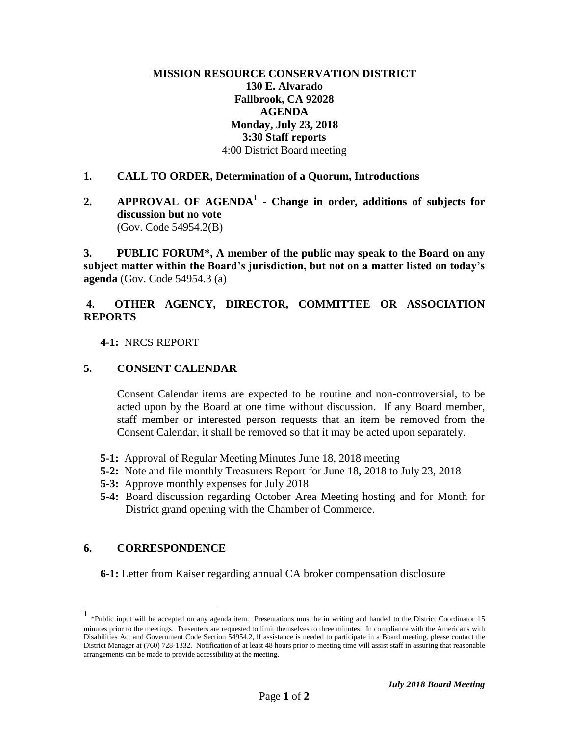## **MISSION RESOURCE CONSERVATION DISTRICT 130 E. Alvarado Fallbrook, CA 92028 AGENDA Monday, July 23, 2018 3:30 Staff reports** 4:00 District Board meeting

#### **1. CALL TO ORDER, Determination of a Quorum, Introductions**

**2. APPROVAL OF AGENDA<sup>1</sup> - Change in order, additions of subjects for discussion but no vote**  (Gov. Code 54954.2(B)

**3. PUBLIC FORUM\*, A member of the public may speak to the Board on any subject matter within the Board's jurisdiction, but not on a matter listed on today's agenda** (Gov. Code 54954.3 (a)

# **4. OTHER AGENCY, DIRECTOR, COMMITTEE OR ASSOCIATION REPORTS**

 **4-1:** NRCS REPORT

## **5. CONSENT CALENDAR**

Consent Calendar items are expected to be routine and non-controversial, to be acted upon by the Board at one time without discussion. If any Board member, staff member or interested person requests that an item be removed from the Consent Calendar, it shall be removed so that it may be acted upon separately.

- **5-1:** Approval of Regular Meeting Minutes June 18, 2018 meeting
- **5-2:** Note and file monthly Treasurers Report for June 18, 2018 to July 23, 2018
- **5-3:** Approve monthly expenses for July 2018
- **5-4:** Board discussion regarding October Area Meeting hosting and for Month for District grand opening with the Chamber of Commerce.

#### **6. CORRESPONDENCE**

 $\overline{a}$ 

**6-1:** Letter from Kaiser regarding annual CA broker compensation disclosure

<sup>1</sup> \*Public input will be accepted on any agenda item. Presentations must be in writing and handed to the District Coordinator 15 minutes prior to the meetings. Presenters are requested to limit themselves to three minutes. In compliance with the Americans with Disabilities Act and Government Code Section 54954.2, lf assistance is needed to participate in a Board meeting. please contact the District Manager at (760) 728-1332. Notification of at least 48 hours prior to meeting time will assist staff in assuring that reasonable arrangements can be made to provide accessibility at the meeting.